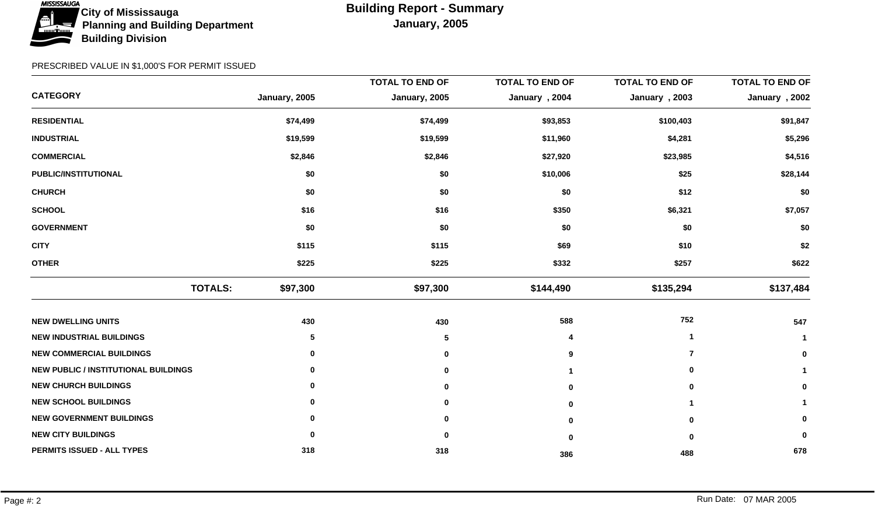

|                                             |               | <b>TOTAL TO END OF</b> | <b>TOTAL TO END OF</b> | <b>TOTAL TO END OF</b> | <b>TOTAL TO END OF</b> |
|---------------------------------------------|---------------|------------------------|------------------------|------------------------|------------------------|
| <b>CATEGORY</b>                             | January, 2005 | January, 2005          | January, 2004          | January, 2003          | January, 2002          |
| <b>RESIDENTIAL</b>                          | \$74,499      | \$74,499               | \$93,853               | \$100,403              | \$91,847               |
| <b>INDUSTRIAL</b>                           | \$19,599      | \$19,599               | \$11,960               | \$4,281                | \$5,296                |
| <b>COMMERCIAL</b>                           | \$2,846       | \$2,846                | \$27,920               | \$23,985               | \$4,516                |
| PUBLIC/INSTITUTIONAL                        | \$0           | \$0                    | \$10,006               | \$25                   | \$28,144               |
| <b>CHURCH</b>                               | \$0           | \$0                    | \$0                    | \$12                   | \$0                    |
| <b>SCHOOL</b>                               | \$16          | \$16                   | \$350                  | \$6,321                | \$7,057                |
| <b>GOVERNMENT</b>                           | \$0           | \$0                    | \$0                    | \$0                    | \$0                    |
| <b>CITY</b>                                 | \$115         | \$115                  | \$69                   | \$10                   | \$2                    |
| <b>OTHER</b>                                | \$225         | \$225                  | \$332                  | \$257                  | \$622                  |
| <b>TOTALS:</b>                              | \$97,300      | \$97,300               | \$144,490              | \$135,294              | \$137,484              |
| <b>NEW DWELLING UNITS</b>                   | 430           | 430                    | 588                    | 752                    | 547                    |
| <b>NEW INDUSTRIAL BUILDINGS</b>             | 5             | 5                      |                        |                        |                        |
| <b>NEW COMMERCIAL BUILDINGS</b>             | 0             | 0                      | 9                      | 7                      | 0                      |
| <b>NEW PUBLIC / INSTITUTIONAL BUILDINGS</b> | 0             |                        |                        | 0                      |                        |
| <b>NEW CHURCH BUILDINGS</b>                 | 0             |                        | $\bf{0}$               | O                      | 0                      |
| <b>NEW SCHOOL BUILDINGS</b>                 | 0             |                        | O                      |                        |                        |
| <b>NEW GOVERNMENT BUILDINGS</b>             | 0             | 0                      | $\Omega$               | ŋ                      | 0                      |
| <b>NEW CITY BUILDINGS</b>                   | 0             | 0                      | $\bf{0}$               | 0                      | 0                      |
| PERMITS ISSUED - ALL TYPES                  | 318           | 318                    | 386                    | 488                    | 678                    |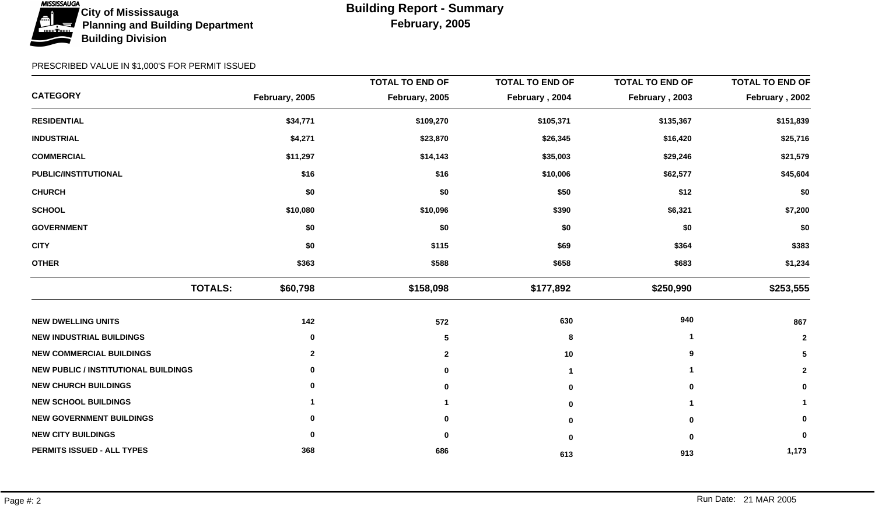

|                                             |                | <b>TOTAL TO END OF</b> | <b>TOTAL TO END OF</b> | <b>TOTAL TO END OF</b> | <b>TOTAL TO END OF</b> |
|---------------------------------------------|----------------|------------------------|------------------------|------------------------|------------------------|
| <b>CATEGORY</b>                             | February, 2005 | February, 2005         | February, 2004         | February, 2003         | February, 2002         |
| <b>RESIDENTIAL</b>                          | \$34,771       | \$109,270              | \$105,371              | \$135,367              | \$151,839              |
| <b>INDUSTRIAL</b>                           | \$4,271        | \$23,870               | \$26,345               | \$16,420               | \$25,716               |
| <b>COMMERCIAL</b>                           | \$11,297       | \$14,143               | \$35,003               | \$29,246               | \$21,579               |
| PUBLIC/INSTITUTIONAL                        | \$16           | \$16                   | \$10,006               | \$62,577               | \$45,604               |
| <b>CHURCH</b>                               | \$0            | \$0                    | \$50                   | \$12                   | \$0                    |
| <b>SCHOOL</b>                               | \$10,080       | \$10,096               | \$390                  | \$6,321                | \$7,200                |
| <b>GOVERNMENT</b>                           | \$0            | \$0                    | \$0                    | \$0                    | \$0                    |
| <b>CITY</b>                                 | \$0            | \$115                  | \$69                   | \$364                  | \$383                  |
| <b>OTHER</b>                                | \$363          | \$588                  | \$658                  | \$683                  | \$1,234                |
| <b>TOTALS:</b>                              | \$60,798       | \$158,098              | \$177,892              | \$250,990              | \$253,555              |
| <b>NEW DWELLING UNITS</b>                   | 142            | 572                    | 630                    | 940                    | 867                    |
| <b>NEW INDUSTRIAL BUILDINGS</b>             | 0              | 5                      | 8                      |                        | $\mathbf{2}$           |
| <b>NEW COMMERCIAL BUILDINGS</b>             | $\mathbf{2}$   | $\overline{2}$         | 10                     | 9                      | 5                      |
| <b>NEW PUBLIC / INSTITUTIONAL BUILDINGS</b> | 0              |                        |                        |                        | $\mathbf{2}$           |
| <b>NEW CHURCH BUILDINGS</b>                 | 0              | 0                      | $\mathbf 0$            | 0                      | 0                      |
| <b>NEW SCHOOL BUILDINGS</b>                 |                |                        | 0                      |                        |                        |
| <b>NEW GOVERNMENT BUILDINGS</b>             | 0              | 0                      | $\bf{0}$               | O                      | 0                      |
| <b>NEW CITY BUILDINGS</b>                   | 0              | 0                      | 0                      | 0                      | 0                      |
| PERMITS ISSUED - ALL TYPES                  | 368            | 686                    | 613                    | 913                    | 1,173                  |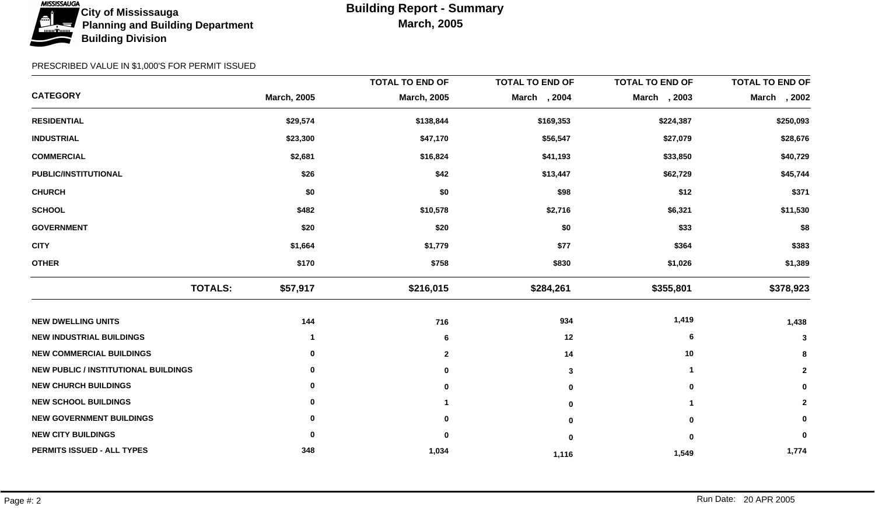

|                                             |                    | <b>TOTAL TO END OF</b> | <b>TOTAL TO END OF</b> | <b>TOTAL TO END OF</b> | <b>TOTAL TO END OF</b> |
|---------------------------------------------|--------------------|------------------------|------------------------|------------------------|------------------------|
| <b>CATEGORY</b>                             | <b>March, 2005</b> | <b>March, 2005</b>     | March , 2004           | March , 2003           | March , 2002           |
| <b>RESIDENTIAL</b>                          | \$29,574           | \$138,844              | \$169,353              | \$224,387              | \$250,093              |
| <b>INDUSTRIAL</b>                           | \$23,300           | \$47,170               | \$56,547               | \$27,079               | \$28,676               |
| <b>COMMERCIAL</b>                           | \$2,681            | \$16,824               | \$41,193               | \$33,850               | \$40,729               |
| PUBLIC/INSTITUTIONAL                        | \$26               | \$42                   | \$13,447               | \$62,729               | \$45,744               |
| <b>CHURCH</b>                               | \$0                | \$0                    | \$98                   | \$12                   | \$371                  |
| <b>SCHOOL</b>                               | \$482              | \$10,578               | \$2,716                | \$6,321                | \$11,530               |
| <b>GOVERNMENT</b>                           | \$20               | \$20                   | \$0                    | \$33                   | \$8                    |
| <b>CITY</b>                                 | \$1,664            | \$1,779                | \$77                   | \$364                  | \$383                  |
| <b>OTHER</b>                                | \$170              | \$758                  | \$830                  | \$1,026                | \$1,389                |
| <b>TOTALS:</b>                              | \$57,917           | \$216,015              | \$284,261              | \$355,801              | \$378,923              |
| <b>NEW DWELLING UNITS</b>                   | 144                | 716                    | 934                    | 1,419                  | 1,438                  |
| <b>NEW INDUSTRIAL BUILDINGS</b>             | 1                  | 6                      | 12                     | 6                      | 3                      |
| <b>NEW COMMERCIAL BUILDINGS</b>             | 0                  | $\mathbf{2}$           | 14                     | 10                     | 8                      |
| <b>NEW PUBLIC / INSTITUTIONAL BUILDINGS</b> | 0                  |                        | 3                      | 1                      | $\mathbf{2}$           |
| <b>NEW CHURCH BUILDINGS</b>                 | 0                  | O                      | 0                      | 0                      | 0                      |
| <b>NEW SCHOOL BUILDINGS</b>                 | 0                  |                        | 0                      |                        | $\mathbf{2}$           |
| <b>NEW GOVERNMENT BUILDINGS</b>             |                    |                        | 0                      | $\bf{0}$               | 0                      |
| <b>NEW CITY BUILDINGS</b>                   | 0                  | 0                      | $\bf{0}$               | $\bf{0}$               | 0                      |
| PERMITS ISSUED - ALL TYPES                  | 348                | 1,034                  | 1,116                  | 1,549                  | 1,774                  |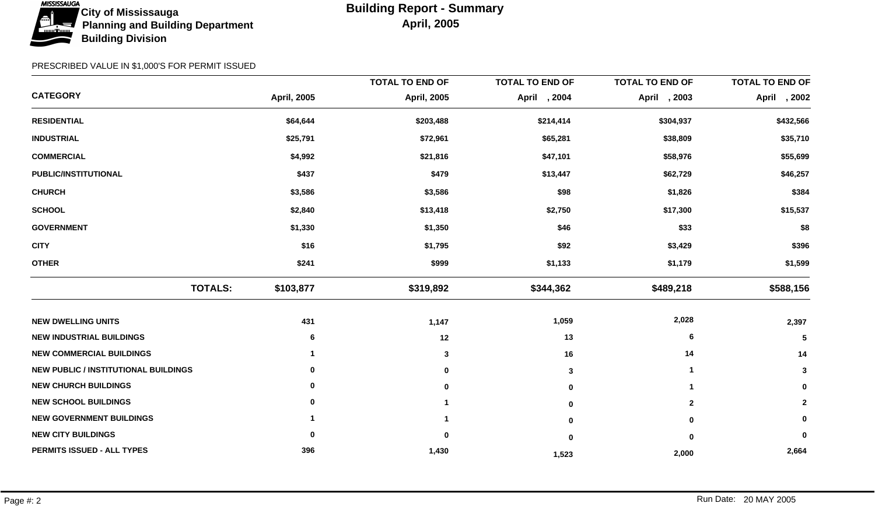

|                                             |                    | <b>TOTAL TO END OF</b> | <b>TOTAL TO END OF</b> | <b>TOTAL TO END OF</b> | <b>TOTAL TO END OF</b> |
|---------------------------------------------|--------------------|------------------------|------------------------|------------------------|------------------------|
| <b>CATEGORY</b>                             | <b>April, 2005</b> | <b>April, 2005</b>     | April , 2004           | April , 2003           | April , 2002           |
| <b>RESIDENTIAL</b>                          | \$64,644           | \$203,488              | \$214,414              | \$304,937              | \$432,566              |
| <b>INDUSTRIAL</b>                           | \$25,791           | \$72,961               | \$65,281               | \$38,809               | \$35,710               |
| <b>COMMERCIAL</b>                           | \$4,992            | \$21,816               | \$47,101               | \$58,976               | \$55,699               |
| PUBLIC/INSTITUTIONAL                        | \$437              | \$479                  | \$13,447               | \$62,729               | \$46,257               |
| <b>CHURCH</b>                               | \$3,586            | \$3,586                | \$98                   | \$1,826                | \$384                  |
| <b>SCHOOL</b>                               | \$2,840            | \$13,418               | \$2,750                | \$17,300               | \$15,537               |
| <b>GOVERNMENT</b>                           | \$1,330            | \$1,350                | \$46                   | \$33                   | \$8                    |
| <b>CITY</b>                                 | \$16               | \$1,795                | \$92                   | \$3,429                | \$396                  |
| <b>OTHER</b>                                | \$241              | \$999                  | \$1,133                | \$1,179                | \$1,599                |
| <b>TOTALS:</b>                              | \$103,877          | \$319,892              | \$344,362              | \$489,218              | \$588,156              |
| <b>NEW DWELLING UNITS</b>                   | 431                | 1,147                  | 1,059                  | 2,028                  | 2,397                  |
| <b>NEW INDUSTRIAL BUILDINGS</b>             | 6                  | 12                     | 13                     | 6                      | 5                      |
| <b>NEW COMMERCIAL BUILDINGS</b>             |                    | 3                      | 16                     | 14                     | 14                     |
| <b>NEW PUBLIC / INSTITUTIONAL BUILDINGS</b> | 0                  | 0                      | 3                      | -1                     | $\mathbf{3}$           |
| <b>NEW CHURCH BUILDINGS</b>                 | 0                  | 0                      | 0                      |                        | 0                      |
| <b>NEW SCHOOL BUILDINGS</b>                 | 0                  |                        | 0                      | $\mathbf{2}$           | $\mathbf{2}$           |
| <b>NEW GOVERNMENT BUILDINGS</b>             |                    |                        | U                      | 0                      | 0                      |
| <b>NEW CITY BUILDINGS</b>                   | 0                  | 0                      | 0                      | $\bf{0}$               | 0                      |
| PERMITS ISSUED - ALL TYPES                  | 396                | 1,430                  | 1,523                  | 2,000                  | 2,664                  |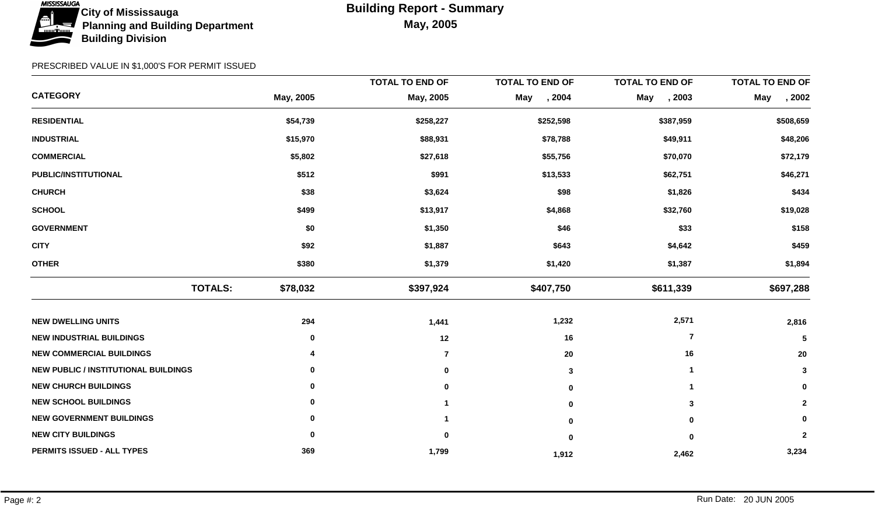

|                                             |                            | <b>TOTAL TO END OF</b> | <b>TOTAL TO END OF</b> | <b>TOTAL TO END OF</b> | <b>TOTAL TO END OF</b> |
|---------------------------------------------|----------------------------|------------------------|------------------------|------------------------|------------------------|
| <b>CATEGORY</b>                             | May, 2005                  | May, 2005              | May<br>, 2004          | May<br>, 2003          | <b>May</b><br>, 2002   |
| <b>RESIDENTIAL</b>                          | \$54,739                   | \$258,227              | \$252,598              | \$387,959              | \$508,659              |
| <b>INDUSTRIAL</b>                           | \$15,970                   | \$88,931               | \$78,788               | \$49,911               | \$48,206               |
| <b>COMMERCIAL</b>                           | \$5,802                    | \$27,618               | \$55,756               | \$70,070               | \$72,179               |
| <b>PUBLIC/INSTITUTIONAL</b>                 | \$512                      | \$991                  | \$13,533               | \$62,751               | \$46,271               |
| <b>CHURCH</b>                               | \$38                       | \$3,624                | \$98                   | \$1,826                | \$434                  |
| <b>SCHOOL</b>                               | \$499                      | \$13,917               | \$4,868                | \$32,760               | \$19,028               |
| <b>GOVERNMENT</b>                           | \$0                        | \$1,350                | \$46                   | \$33                   | \$158                  |
| <b>CITY</b>                                 | \$92                       | \$1,887                | \$643                  | \$4,642                | \$459                  |
| <b>OTHER</b>                                | \$380                      | \$1,379                | \$1,420                | \$1,387                | \$1,894                |
|                                             | <b>TOTALS:</b><br>\$78,032 | \$397,924              | \$407,750              | \$611,339              | \$697,288              |
| <b>NEW DWELLING UNITS</b>                   | 294                        | 1,441                  | 1,232                  | 2,571                  | 2,816                  |
| <b>NEW INDUSTRIAL BUILDINGS</b>             | 0                          | 12                     | 16                     | $\overline{7}$         | 5                      |
| <b>NEW COMMERCIAL BUILDINGS</b>             |                            | $\overline{7}$         | 20                     | 16                     | 20                     |
| <b>NEW PUBLIC / INSTITUTIONAL BUILDINGS</b> | 0                          | 0                      | 3                      | 1                      | $\mathbf{3}$           |
| <b>NEW CHURCH BUILDINGS</b>                 | 0                          | $\bf{0}$               | 0                      |                        | 0                      |
| <b>NEW SCHOOL BUILDINGS</b>                 | 0                          |                        | 0                      | 3                      | $\mathbf 2$            |
| <b>NEW GOVERNMENT BUILDINGS</b>             | 0                          |                        | $\bf{0}$               | $\bf{0}$               | 0                      |
| <b>NEW CITY BUILDINGS</b>                   | 0                          | 0                      | 0                      | $\bf{0}$               | $\overline{2}$         |
| PERMITS ISSUED - ALL TYPES                  | 369                        | 1,799                  | 1,912                  | 2,462                  | 3,234                  |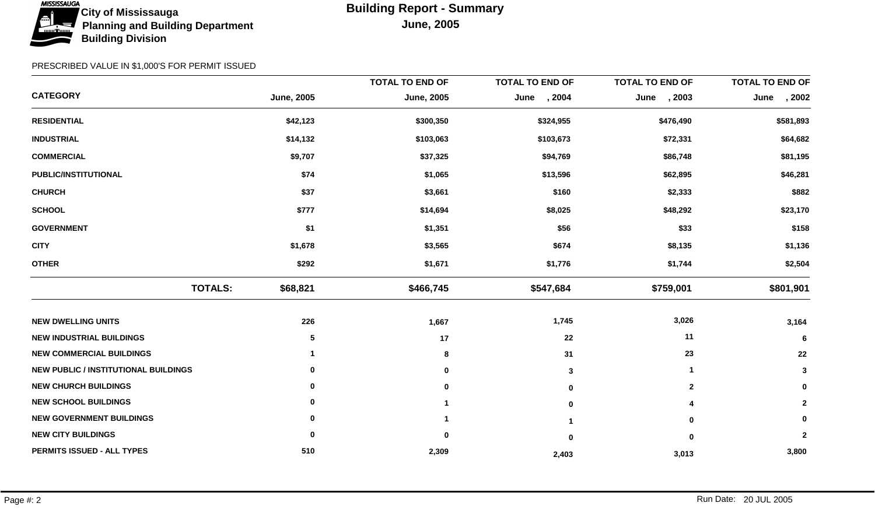

|                                             |                   | <b>TOTAL TO END OF</b> | <b>TOTAL TO END OF</b> | <b>TOTAL TO END OF</b> | <b>TOTAL TO END OF</b> |
|---------------------------------------------|-------------------|------------------------|------------------------|------------------------|------------------------|
| <b>CATEGORY</b>                             | <b>June, 2005</b> | <b>June, 2005</b>      | , 2004<br>June         | June , 2003            | , 2002<br>June         |
| <b>RESIDENTIAL</b>                          | \$42,123          | \$300,350              | \$324,955              | \$476,490              | \$581,893              |
| <b>INDUSTRIAL</b>                           | \$14,132          | \$103,063              | \$103,673              | \$72,331               | \$64,682               |
| <b>COMMERCIAL</b>                           | \$9,707           | \$37,325               | \$94,769               | \$86,748               | \$81,195               |
| <b>PUBLIC/INSTITUTIONAL</b>                 | \$74              | \$1,065                | \$13,596               | \$62,895               | \$46,281               |
| <b>CHURCH</b>                               | \$37              | \$3,661                | \$160                  | \$2,333                | \$882                  |
| <b>SCHOOL</b>                               | \$777             | \$14,694               | \$8,025                | \$48,292               | \$23,170               |
| <b>GOVERNMENT</b>                           | \$1               | \$1,351                | \$56                   | \$33                   | \$158                  |
| <b>CITY</b>                                 | \$1,678           | \$3,565                | \$674                  | \$8,135                | \$1,136                |
| <b>OTHER</b>                                | \$292             | \$1,671                | \$1,776                | \$1,744                | \$2,504                |
| <b>TOTALS:</b>                              | \$68,821          | \$466,745              | \$547,684              | \$759,001              | \$801,901              |
| <b>NEW DWELLING UNITS</b>                   | 226               | 1,667                  | 1,745                  | 3,026                  | 3,164                  |
| <b>NEW INDUSTRIAL BUILDINGS</b>             | 5                 | 17                     | 22                     | 11                     | 6                      |
| <b>NEW COMMERCIAL BUILDINGS</b>             |                   | 8                      | 31                     | 23                     | 22                     |
| <b>NEW PUBLIC / INSTITUTIONAL BUILDINGS</b> | 0                 | 0                      | 3                      | $\blacktriangleleft$   | $\mathbf 3$            |
| <b>NEW CHURCH BUILDINGS</b>                 | 0                 | $\bf{0}$               | 0                      | $\overline{2}$         | 0                      |
| <b>NEW SCHOOL BUILDINGS</b>                 | 0                 |                        | 0                      | 4                      | $\mathbf 2$            |
| <b>NEW GOVERNMENT BUILDINGS</b>             | 0                 |                        |                        | $\bf{0}$               | 0                      |
| <b>NEW CITY BUILDINGS</b>                   | 0                 | 0                      | $\bf{0}$               | $\bf{0}$               | $\overline{2}$         |
| PERMITS ISSUED - ALL TYPES                  | 510               | 2,309                  | 2,403                  | 3,013                  | 3,800                  |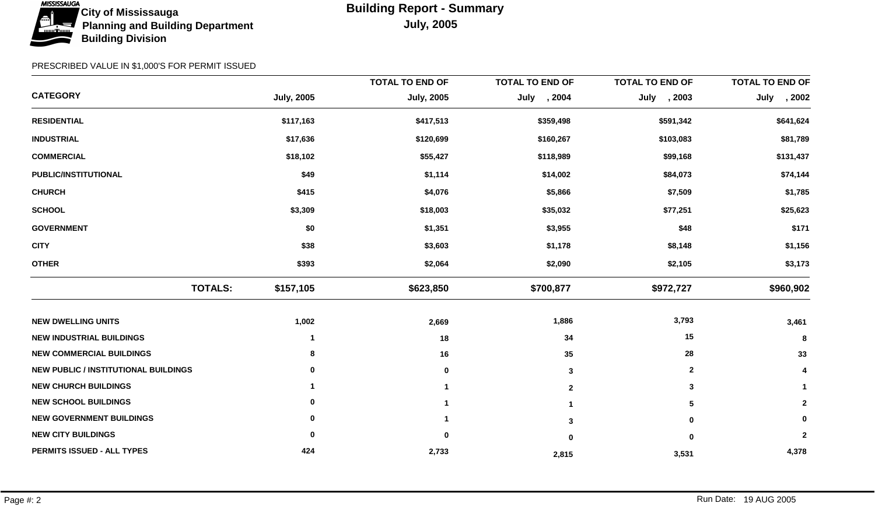

|                                             |                   | <b>TOTAL TO END OF</b> | <b>TOTAL TO END OF</b> | <b>TOTAL TO END OF</b> | <b>TOTAL TO END OF</b> |
|---------------------------------------------|-------------------|------------------------|------------------------|------------------------|------------------------|
| <b>CATEGORY</b>                             | <b>July, 2005</b> | <b>July, 2005</b>      | July , 2004            | July , 2003            | , 2002<br>July         |
| <b>RESIDENTIAL</b>                          | \$117,163         | \$417,513              | \$359,498              | \$591,342              | \$641,624              |
| <b>INDUSTRIAL</b>                           | \$17,636          | \$120,699              | \$160,267              | \$103,083              | \$81,789               |
| <b>COMMERCIAL</b>                           | \$18,102          | \$55,427               | \$118,989              | \$99,168               | \$131,437              |
| PUBLIC/INSTITUTIONAL                        | \$49              | \$1,114                | \$14,002               | \$84,073               | \$74,144               |
| <b>CHURCH</b>                               | \$415             | \$4,076                | \$5,866                | \$7,509                | \$1,785                |
| <b>SCHOOL</b>                               | \$3,309           | \$18,003               | \$35,032               | \$77,251               | \$25,623               |
| <b>GOVERNMENT</b>                           | \$0               | \$1,351                | \$3,955                | \$48                   | \$171                  |
| <b>CITY</b>                                 | \$38              | \$3,603                | \$1,178                | \$8,148                | \$1,156                |
| <b>OTHER</b>                                | \$393             | \$2,064                | \$2,090                | \$2,105                | \$3,173                |
| <b>TOTALS:</b>                              | \$157,105         | \$623,850              | \$700,877              | \$972,727              | \$960,902              |
| <b>NEW DWELLING UNITS</b>                   | 1,002             | 2,669                  | 1,886                  | 3,793                  | 3,461                  |
| <b>NEW INDUSTRIAL BUILDINGS</b>             | 1                 | 18                     | 34                     | 15                     | 8                      |
| <b>NEW COMMERCIAL BUILDINGS</b>             | 8                 | 16                     | 35                     | 28                     | 33                     |
| <b>NEW PUBLIC / INSTITUTIONAL BUILDINGS</b> | 0                 | 0                      | 3                      | $\mathbf{2}$           | 4                      |
| <b>NEW CHURCH BUILDINGS</b>                 |                   |                        | $\mathbf{2}$           | 3                      | $\mathbf{1}$           |
| <b>NEW SCHOOL BUILDINGS</b>                 | 0                 |                        |                        | 5                      | $\mathbf{2}$           |
| <b>NEW GOVERNMENT BUILDINGS</b>             | 0                 |                        | 3                      | $\bf{0}$               | 0                      |
| <b>NEW CITY BUILDINGS</b>                   | 0                 | 0                      | $\mathbf{0}$           | $\bf{0}$               | $\mathbf{2}$           |
| PERMITS ISSUED - ALL TYPES                  | 424               | 2,733                  | 2,815                  | 3,531                  | 4,378                  |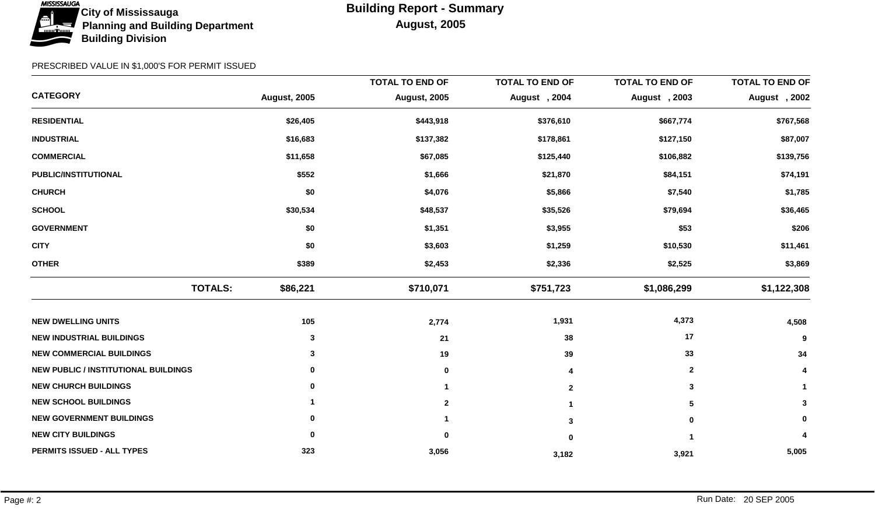

|                                             |                     | <b>TOTAL TO END OF</b> | <b>TOTAL TO END OF</b> | <b>TOTAL TO END OF</b> | <b>TOTAL TO END OF</b> |
|---------------------------------------------|---------------------|------------------------|------------------------|------------------------|------------------------|
| <b>CATEGORY</b>                             | <b>August, 2005</b> | <b>August, 2005</b>    | August, 2004           | August , 2003          | August, 2002           |
| <b>RESIDENTIAL</b>                          | \$26,405            | \$443,918              | \$376,610              | \$667,774              | \$767,568              |
| <b>INDUSTRIAL</b>                           | \$16,683            | \$137,382              | \$178,861              | \$127,150              | \$87,007               |
| <b>COMMERCIAL</b>                           | \$11,658            | \$67,085               | \$125,440              | \$106,882              | \$139,756              |
| PUBLIC/INSTITUTIONAL                        | \$552               | \$1,666                | \$21,870               | \$84,151               | \$74,191               |
| <b>CHURCH</b>                               | \$0                 | \$4,076                | \$5,866                | \$7,540                | \$1,785                |
| <b>SCHOOL</b>                               | \$30,534            | \$48,537               | \$35,526               | \$79,694               | \$36,465               |
| <b>GOVERNMENT</b>                           | \$0                 | \$1,351                | \$3,955                | \$53                   | \$206                  |
| <b>CITY</b>                                 | \$0                 | \$3,603                | \$1,259                | \$10,530               | \$11,461               |
| <b>OTHER</b>                                | \$389               | \$2,453                | \$2,336                | \$2,525                | \$3,869                |
| <b>TOTALS:</b>                              | \$86,221            | \$710,071              | \$751,723              | \$1,086,299            | \$1,122,308            |
| <b>NEW DWELLING UNITS</b>                   | 105                 | 2,774                  | 1,931                  | 4,373                  | 4,508                  |
| <b>NEW INDUSTRIAL BUILDINGS</b>             | 3                   | 21                     | 38                     | 17                     | 9                      |
| <b>NEW COMMERCIAL BUILDINGS</b>             | 3                   | 19                     | 39                     | 33                     | 34                     |
| <b>NEW PUBLIC / INSTITUTIONAL BUILDINGS</b> | 0                   | 0                      | 4                      | $\mathbf{2}$           | 4                      |
| <b>NEW CHURCH BUILDINGS</b>                 | 0                   |                        | $\mathbf{2}$           | 3                      | $\mathbf{1}$           |
| <b>NEW SCHOOL BUILDINGS</b>                 |                     | $\mathbf{2}$           |                        | 5                      | 3                      |
| <b>NEW GOVERNMENT BUILDINGS</b>             | 0                   |                        | 3                      | $\bf{0}$               | 0                      |
| <b>NEW CITY BUILDINGS</b>                   | 0                   | 0                      | 0                      |                        | 4                      |
| PERMITS ISSUED - ALL TYPES                  | 323                 | 3,056                  | 3,182                  | 3,921                  | 5,005                  |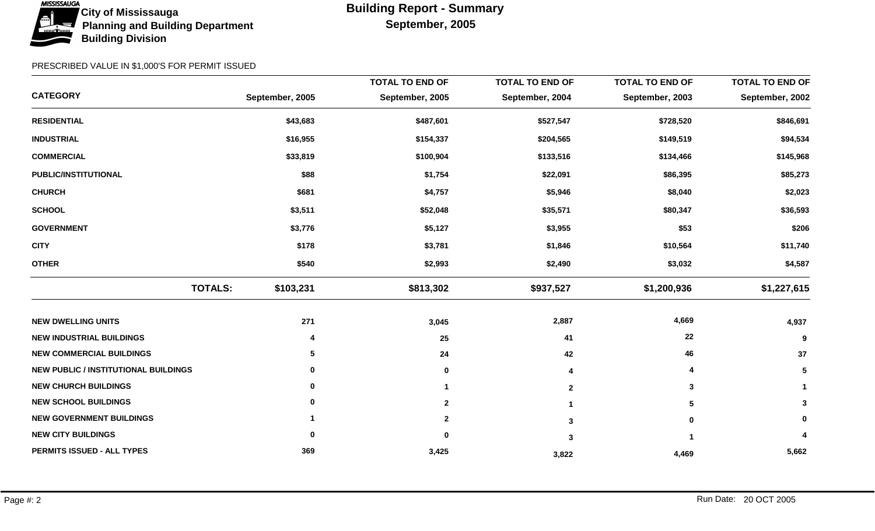

|                                             |                 | <b>TOTAL TO END OF</b> | <b>TOTAL TO END OF</b> | <b>TOTAL TO END OF</b> | <b>TOTAL TO END OF</b> |
|---------------------------------------------|-----------------|------------------------|------------------------|------------------------|------------------------|
| <b>CATEGORY</b>                             | September, 2005 | September, 2005        | September, 2004        | September, 2003        | September, 2002        |
| <b>RESIDENTIAL</b>                          | \$43,683        | \$487,601              | \$527,547              | \$728,520              | \$846,691              |
| <b>INDUSTRIAL</b>                           | \$16,955        | \$154,337              | \$204,565              | \$149,519              | \$94,534               |
| <b>COMMERCIAL</b>                           | \$33,819        | \$100,904              | \$133,516              | \$134,466              | \$145,968              |
| PUBLIC/INSTITUTIONAL                        | \$88            | \$1,754                | \$22,091               | \$86,395               | \$85,273               |
| <b>CHURCH</b>                               | \$681           | \$4,757                | \$5,946                | \$8,040                | \$2,023                |
| <b>SCHOOL</b>                               | \$3,511         | \$52,048               | \$35,571               | \$80,347               | \$36,593               |
| <b>GOVERNMENT</b>                           | \$3,776         | \$5,127                | \$3,955                | \$53                   | \$206                  |
| <b>CITY</b>                                 | \$178           | \$3,781                | \$1,846                | \$10,564               | \$11,740               |
| <b>OTHER</b>                                | \$540           | \$2,993                | \$2,490                | \$3,032                | \$4,587                |
| <b>TOTALS:</b>                              | \$103,231       | \$813,302              | \$937,527              | \$1,200,936            | \$1,227,615            |
| <b>NEW DWELLING UNITS</b>                   | 271             | 3,045                  | 2,887                  | 4,669                  | 4,937                  |
| <b>NEW INDUSTRIAL BUILDINGS</b>             | 4               | 25                     | 41                     | 22                     | 9                      |
| <b>NEW COMMERCIAL BUILDINGS</b>             | 5               | 24                     | 42                     | 46                     | 37                     |
| <b>NEW PUBLIC / INSTITUTIONAL BUILDINGS</b> | 0               | $\bf{0}$               | 4                      | 4                      | 5                      |
| <b>NEW CHURCH BUILDINGS</b>                 | 0               |                        | $\mathbf 2$            | 3                      |                        |
| <b>NEW SCHOOL BUILDINGS</b>                 | 0               | $\mathbf{2}$           |                        | 5                      | 3                      |
| <b>NEW GOVERNMENT BUILDINGS</b>             |                 | $\mathbf{2}$           | 3                      | 0                      | 0                      |
| <b>NEW CITY BUILDINGS</b>                   | 0               | 0                      | 3                      |                        | 4                      |
| PERMITS ISSUED - ALL TYPES                  | 369             | 3,425                  | 3,822                  | 4,469                  | 5,662                  |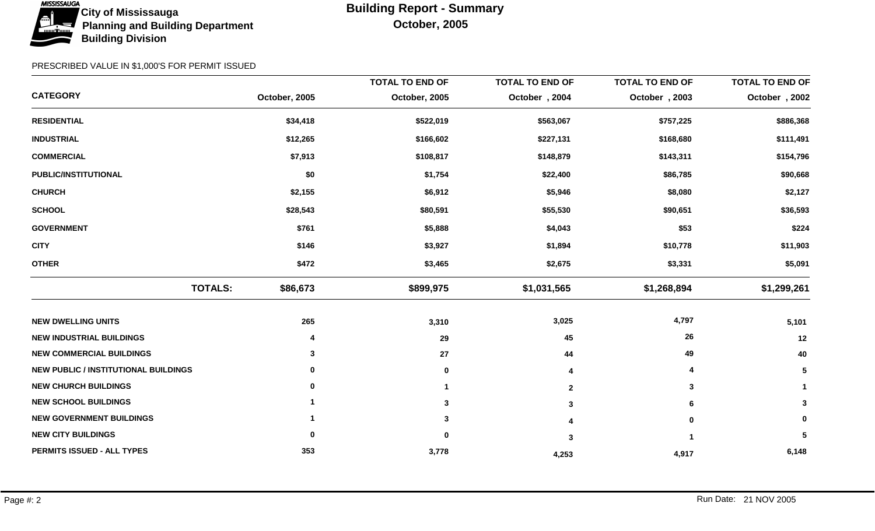

|                                             |                |          | <b>TOTAL TO END OF</b> | <b>TOTAL TO END OF</b> | <b>TOTAL TO END OF</b> | <b>TOTAL TO END OF</b> |
|---------------------------------------------|----------------|----------|------------------------|------------------------|------------------------|------------------------|
| <b>CATEGORY</b>                             | October, 2005  |          | October, 2005          | October, 2004          | October, 2003          | October, 2002          |
| <b>RESIDENTIAL</b>                          |                | \$34,418 | \$522,019              | \$563,067              | \$757,225              | \$886,368              |
| <b>INDUSTRIAL</b>                           |                | \$12,265 | \$166,602              | \$227,131              | \$168,680              | \$111,491              |
| <b>COMMERCIAL</b>                           |                | \$7,913  | \$108,817              | \$148,879              | \$143,311              | \$154,796              |
| PUBLIC/INSTITUTIONAL                        |                | \$0      | \$1,754                | \$22,400               | \$86,785               | \$90,668               |
| <b>CHURCH</b>                               |                | \$2,155  | \$6,912                | \$5,946                | \$8,080                | \$2,127                |
| <b>SCHOOL</b>                               |                | \$28,543 | \$80,591               | \$55,530               | \$90,651               | \$36,593               |
| <b>GOVERNMENT</b>                           |                | \$761    | \$5,888                | \$4,043                | \$53                   | \$224                  |
| <b>CITY</b>                                 |                | \$146    | \$3,927                | \$1,894                | \$10,778               | \$11,903               |
| <b>OTHER</b>                                |                | \$472    | \$3,465                | \$2,675                | \$3,331                | \$5,091                |
|                                             | <b>TOTALS:</b> | \$86,673 | \$899,975              | \$1,031,565            | \$1,268,894            | \$1,299,261            |
| <b>NEW DWELLING UNITS</b>                   |                | 265      | 3,310                  | 3,025                  | 4,797                  | 5,101                  |
| <b>NEW INDUSTRIAL BUILDINGS</b>             |                | 4        | 29                     | 45                     | 26                     | 12                     |
| <b>NEW COMMERCIAL BUILDINGS</b>             |                | 3        | 27                     | 44                     | 49                     | 40                     |
| <b>NEW PUBLIC / INSTITUTIONAL BUILDINGS</b> |                | 0        | 0                      |                        |                        | 5                      |
| <b>NEW CHURCH BUILDINGS</b>                 |                | 0        |                        | $\mathbf{2}$           | 3                      | $\mathbf 1$            |
| <b>NEW SCHOOL BUILDINGS</b>                 |                |          | 3                      | 3                      | 6                      | $\mathbf{3}$           |
| <b>NEW GOVERNMENT BUILDINGS</b>             |                |          | 3                      |                        | 0                      | 0                      |
| <b>NEW CITY BUILDINGS</b>                   |                | 0        |                        | -3                     |                        | 5                      |
| PERMITS ISSUED - ALL TYPES                  |                | 353      | 3,778                  | 4,253                  | 4,917                  | 6,148                  |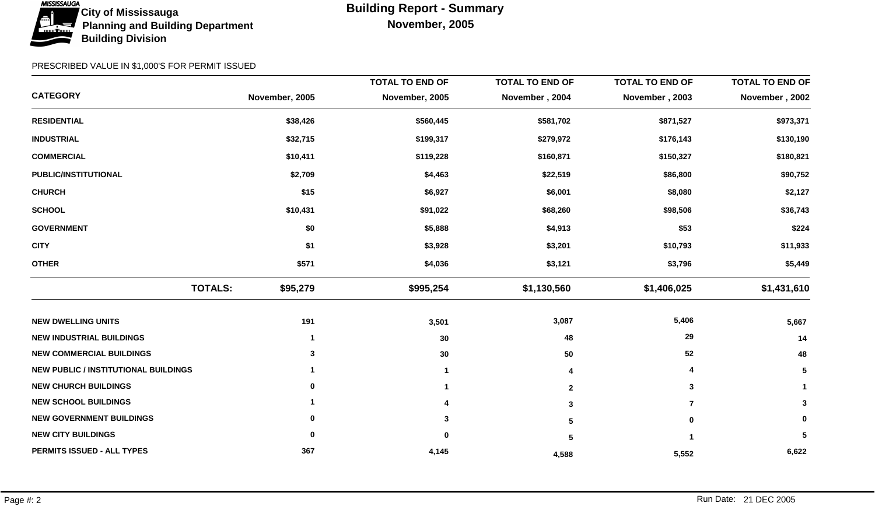

|                                             |                            | <b>TOTAL TO END OF</b> | <b>TOTAL TO END OF</b> | <b>TOTAL TO END OF</b> | <b>TOTAL TO END OF</b> |
|---------------------------------------------|----------------------------|------------------------|------------------------|------------------------|------------------------|
| <b>CATEGORY</b>                             | November, 2005             | November, 2005         | November, 2004         | November, 2003         | November, 2002         |
| <b>RESIDENTIAL</b>                          | \$38,426                   | \$560,445              | \$581,702              | \$871,527              | \$973,371              |
| <b>INDUSTRIAL</b>                           | \$32,715                   | \$199,317              | \$279,972              | \$176,143              | \$130,190              |
| <b>COMMERCIAL</b>                           | \$10,411                   | \$119,228              | \$160,871              | \$150,327              | \$180,821              |
| PUBLIC/INSTITUTIONAL                        | \$2,709                    | \$4,463                | \$22,519               | \$86,800               | \$90,752               |
| <b>CHURCH</b>                               | \$15                       | \$6,927                | \$6,001                | \$8,080                | \$2,127                |
| <b>SCHOOL</b>                               | \$10,431                   | \$91,022               | \$68,260               | \$98,506               | \$36,743               |
| <b>GOVERNMENT</b>                           | \$0                        | \$5,888                | \$4,913                | \$53                   | \$224                  |
| <b>CITY</b>                                 | \$1                        | \$3,928                | \$3,201                | \$10,793               | \$11,933               |
| <b>OTHER</b>                                | \$571                      | \$4,036                | \$3,121                | \$3,796                | \$5,449                |
|                                             | <b>TOTALS:</b><br>\$95,279 | \$995,254              | \$1,130,560            | \$1,406,025            | \$1,431,610            |
| <b>NEW DWELLING UNITS</b>                   | 191                        | 3,501                  | 3,087                  | 5,406                  | 5,667                  |
| <b>NEW INDUSTRIAL BUILDINGS</b>             | 1                          | 30                     | 48                     | 29                     | 14                     |
| <b>NEW COMMERCIAL BUILDINGS</b>             | 3                          | 30                     | 50                     | 52                     | 48                     |
| <b>NEW PUBLIC / INSTITUTIONAL BUILDINGS</b> |                            |                        |                        |                        | 5                      |
| <b>NEW CHURCH BUILDINGS</b>                 | 0                          |                        | $\mathbf{2}$           | 3                      | $\mathbf 1$            |
| <b>NEW SCHOOL BUILDINGS</b>                 |                            |                        | 3                      | $\overline{7}$         | $\mathbf{3}$           |
| <b>NEW GOVERNMENT BUILDINGS</b>             | 0                          |                        | 5                      | $\bf{0}$               | 0                      |
| <b>NEW CITY BUILDINGS</b>                   | 0                          |                        | 5                      |                        | 5                      |
| PERMITS ISSUED - ALL TYPES                  | 367                        | 4,145                  | 4,588                  | 5,552                  | 6,622                  |